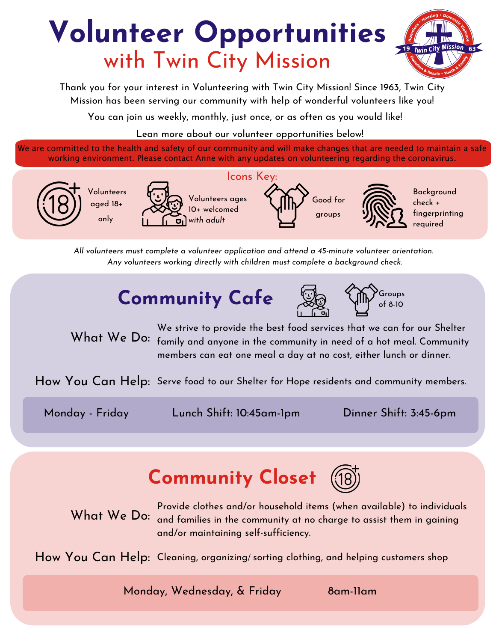# **Volunteer Opportunities** with Twin City Mission



Thank you for your interest in Volunteering with Twin City Mission! Since 1963, Twin City Mission has been serving our community with help of wonderful volunteers like you!

You can join us weekly, monthly, just once, or as often as you would like!

Lean more about our volunteer opportunities below!

We are committed to the health and safety of our community and will make changes that are needed to maintain a safe working environment. Please contact Anne with any updates on volunteering regarding the coronavirus.





Volunteers ages 10+ welcomed *with adult*





Background check + fingerprinting required

*All volunteers must complete a volunteer application and attend a 45-minute volunteer orientation. Any volunteers working directly with children must complete a background check.*

## **Community Cafe**



Groups of 8-10

What We Do: family and anyone in the community in need of a hot meal. Community We strive to provide the best food services that we can for our Shelter members can eat one meal a day at no cost, either lunch or dinner.

How You Can Help: Serve food to our Shelter for Hope residents and community members.

Monday - Friday Lunch Shift: 10:45am-1pm Dinner Shift: 3:45-6pm

# **Community Closet**

What We Do: and families in the community at no charge to assist them in gaining Provide clothes and/or household items (when available) to individuals and/or maintaining self-sufficiency.

How You Can Help: Cleaning, organizing/ sorting clothing, and helping customers shop

Monday, Wednesday, & Friday 8am-11am